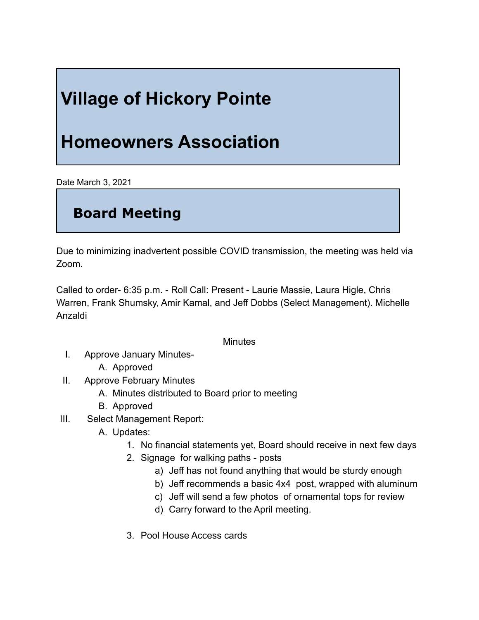## **Village of Hickory Pointe**

## **Homeowners Association**

Date March 3, 2021

## **Board Meeting**

Due to minimizing inadvertent possible COVID transmission, the meeting was held via Zoom.

Called to order- 6:35 p.m. - Roll Call: Present - Laurie Massie, Laura Higle, Chris Warren, Frank Shumsky, Amir Kamal, and Jeff Dobbs (Select Management). Michelle Anzaldi

## **Minutes**

- I. Approve January Minutes-
	- A. Approved
- II. Approve February Minutes
	- A. Minutes distributed to Board prior to meeting
	- B. Approved
- III. Select Management Report:
	- A. Updates:
		- 1. No financial statements yet, Board should receive in next few days
		- 2. Signage for walking paths posts
			- a) Jeff has not found anything that would be sturdy enough
			- b) Jeff recommends a basic 4x4 post, wrapped with aluminum
			- c) Jeff will send a few photos of ornamental tops for review
			- d) Carry forward to the April meeting.
		- 3. Pool House Access cards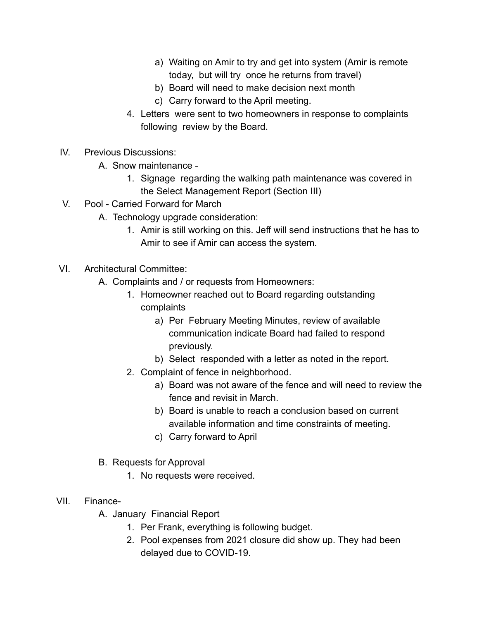- a) Waiting on Amir to try and get into system (Amir is remote today, but will try once he returns from travel)
- b) Board will need to make decision next month
- c) Carry forward to the April meeting.
- 4. Letters were sent to two homeowners in response to complaints following review by the Board.
- IV. Previous Discussions:
	- A. Snow maintenance
		- 1. Signage regarding the walking path maintenance was covered in the Select Management Report (Section III)
- V. Pool Carried Forward for March
	- A. Technology upgrade consideration:
		- 1. Amir is still working on this. Jeff will send instructions that he has to Amir to see if Amir can access the system.
- VI. Architectural Committee:
	- A. Complaints and / or requests from Homeowners:
		- 1. Homeowner reached out to Board regarding outstanding complaints
			- a) Per February Meeting Minutes, review of available communication indicate Board had failed to respond previously.
			- b) Select responded with a letter as noted in the report.
		- 2. Complaint of fence in neighborhood.
			- a) Board was not aware of the fence and will need to review the fence and revisit in March.
			- b) Board is unable to reach a conclusion based on current available information and time constraints of meeting.
			- c) Carry forward to April
	- B. Requests for Approval
		- 1. No requests were received.
- VII. Finance-
	- A. January Financial Report
		- 1. Per Frank, everything is following budget.
		- 2. Pool expenses from 2021 closure did show up. They had been delayed due to COVID-19.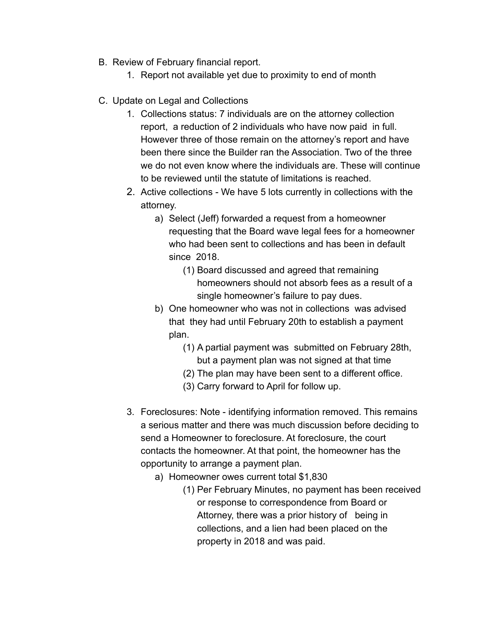- B. Review of February financial report.
	- 1. Report not available yet due to proximity to end of month
- C. Update on Legal and Collections
	- 1. Collections status: 7 individuals are on the attorney collection report, a reduction of 2 individuals who have now paid in full. However three of those remain on the attorney's report and have been there since the Builder ran the Association. Two of the three we do not even know where the individuals are. These will continue to be reviewed until the statute of limitations is reached.
	- 2. Active collections We have 5 lots currently in collections with the attorney.
		- a) Select (Jeff) forwarded a request from a homeowner requesting that the Board wave legal fees for a homeowner who had been sent to collections and has been in default since 2018.
			- (1) Board discussed and agreed that remaining homeowners should not absorb fees as a result of a single homeowner's failure to pay dues.
		- b) One homeowner who was not in collections was advised that they had until February 20th to establish a payment plan.
			- (1) A partial payment was submitted on February 28th, but a payment plan was not signed at that time
			- (2) The plan may have been sent to a different office.
			- (3) Carry forward to April for follow up.
	- 3. Foreclosures: Note identifying information removed. This remains a serious matter and there was much discussion before deciding to send a Homeowner to foreclosure. At foreclosure, the court contacts the homeowner. At that point, the homeowner has the opportunity to arrange a payment plan.
		- a) Homeowner owes current total \$1,830
			- (1) Per February Minutes, no payment has been received or response to correspondence from Board or Attorney, there was a prior history of being in collections, and a lien had been placed on the property in 2018 and was paid.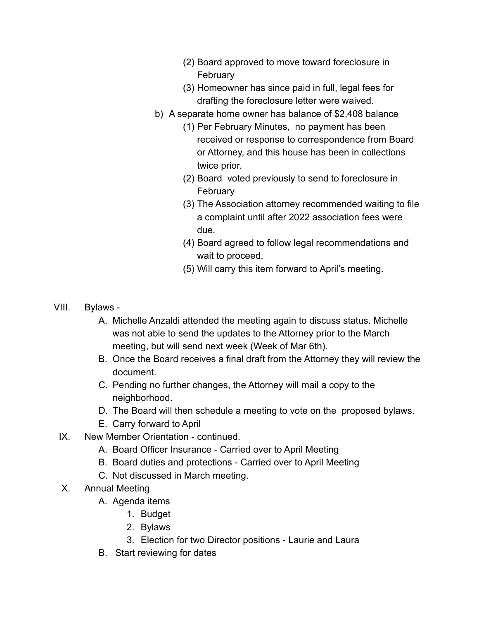- (2) Board approved to move toward foreclosure in February
- (3) Homeowner has since paid in full, legal fees for drafting the foreclosure letter were waived.
- b) A separate home owner has balance of \$2,408 balance
	- (1) Per February Minutes, no payment has been received or response to correspondence from Board or Attorney, and this house has been in collections twice prior.
	- (2) Board voted previously to send to foreclosure in February
	- (3) The Association attorney recommended waiting to file a complaint until after 2022 association fees were due.
	- (4) Board agreed to follow legal recommendations and wait to proceed.
	- (5) Will carry this item forward to April's meeting.

- VIII. Bylaws
	- A. Michelle Anzaldi attended the meeting again to discuss status. Michelle was not able to send the updates to the Attorney prior to the March meeting, but will send next week (Week of Mar 6th).
	- B. Once the Board receives a final draft from the Attorney they will review the document.
	- C. Pending no further changes, the Attorney will mail a copy to the neighborhood.
	- D. The Board will then schedule a meeting to vote on the proposed bylaws.
	- E. Carry forward to April
	- IX. New Member Orientation continued.
		- A. Board Officer Insurance Carried over to April Meeting
		- B. Board duties and protections Carried over to April Meeting
		- C. Not discussed in March meeting.
	- X. Annual Meeting
		- A. Agenda items
			- 1. Budget
			- 2. Bylaws
			- 3. Election for two Director positions Laurie and Laura
		- B. Start reviewing for dates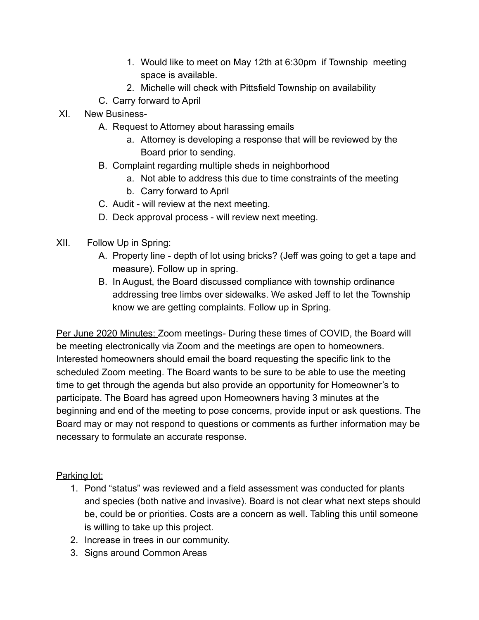- 1. Would like to meet on May 12th at 6:30pm if Township meeting space is available.
- 2. Michelle will check with Pittsfield Township on availability
- C. Carry forward to April
- XI. New Business-
	- A. Request to Attorney about harassing emails
		- a. Attorney is developing a response that will be reviewed by the Board prior to sending.
	- B. Complaint regarding multiple sheds in neighborhood
		- a. Not able to address this due to time constraints of the meeting
		- b. Carry forward to April
	- C. Audit will review at the next meeting.
	- D. Deck approval process will review next meeting.
- XII. Follow Up in Spring:
	- A. Property line depth of lot using bricks? (Jeff was going to get a tape and measure). Follow up in spring.
	- B. In August, the Board discussed compliance with township ordinance addressing tree limbs over sidewalks. We asked Jeff to let the Township know we are getting complaints. Follow up in Spring.

Per June 2020 Minutes: Zoom meetings- During these times of COVID, the Board will be meeting electronically via Zoom and the meetings are open to homeowners. Interested homeowners should email the board requesting the specific link to the scheduled Zoom meeting. The Board wants to be sure to be able to use the meeting time to get through the agenda but also provide an opportunity for Homeowner's to participate. The Board has agreed upon Homeowners having 3 minutes at the beginning and end of the meeting to pose concerns, provide input or ask questions. The Board may or may not respond to questions or comments as further information may be necessary to formulate an accurate response.

Parking lot:

- 1. Pond "status" was reviewed and a field assessment was conducted for plants and species (both native and invasive). Board is not clear what next steps should be, could be or priorities. Costs are a concern as well. Tabling this until someone is willing to take up this project.
- 2. Increase in trees in our community.
- 3. Signs around Common Areas